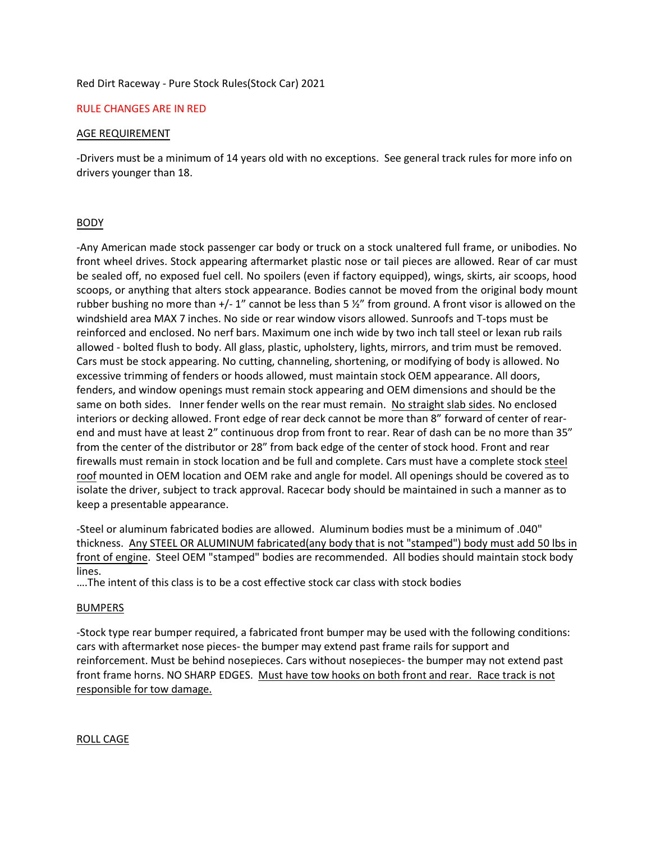### Red Dirt Raceway - Pure Stock Rules(Stock Car) 2021

### RULE CHANGES ARE IN RED

### AGE REQUIREMENT

-Drivers must be a minimum of 14 years old with no exceptions. See general track rules for more info on drivers younger than 18.

# BODY

-Any American made stock passenger car body or truck on a stock unaltered full frame, or unibodies. No front wheel drives. Stock appearing aftermarket plastic nose or tail pieces are allowed. Rear of car must be sealed off, no exposed fuel cell. No spoilers (even if factory equipped), wings, skirts, air scoops, hood scoops, or anything that alters stock appearance. Bodies cannot be moved from the original body mount rubber bushing no more than  $+/- 1$ " cannot be less than 5  $\frac{1}{2}$ " from ground. A front visor is allowed on the windshield area MAX 7 inches. No side or rear window visors allowed. Sunroofs and T-tops must be reinforced and enclosed. No nerf bars. Maximum one inch wide by two inch tall steel or lexan rub rails allowed - bolted flush to body. All glass, plastic, upholstery, lights, mirrors, and trim must be removed. Cars must be stock appearing. No cutting, channeling, shortening, or modifying of body is allowed. No excessive trimming of fenders or hoods allowed, must maintain stock OEM appearance. All doors, fenders, and window openings must remain stock appearing and OEM dimensions and should be the same on both sides. Inner fender wells on the rear must remain. No straight slab sides. No enclosed interiors or decking allowed. Front edge of rear deck cannot be more than 8" forward of center of rearend and must have at least 2" continuous drop from front to rear. Rear of dash can be no more than 35" from the center of the distributor or 28" from back edge of the center of stock hood. Front and rear firewalls must remain in stock location and be full and complete. Cars must have a complete stock steel roof mounted in OEM location and OEM rake and angle for model. All openings should be covered as to isolate the driver, subject to track approval. Racecar body should be maintained in such a manner as to keep a presentable appearance.

-Steel or aluminum fabricated bodies are allowed. Aluminum bodies must be a minimum of .040" thickness. Any STEEL OR ALUMINUM fabricated(any body that is not "stamped") body must add 50 lbs in front of engine. Steel OEM "stamped" bodies are recommended. All bodies should maintain stock body lines.

….The intent of this class is to be a cost effective stock car class with stock bodies

# **BUMPERS**

-Stock type rear bumper required, a fabricated front bumper may be used with the following conditions: cars with aftermarket nose pieces- the bumper may extend past frame rails for support and reinforcement. Must be behind nosepieces. Cars without nosepieces- the bumper may not extend past front frame horns. NO SHARP EDGES. Must have tow hooks on both front and rear. Race track is not responsible for tow damage.

ROLL CAGE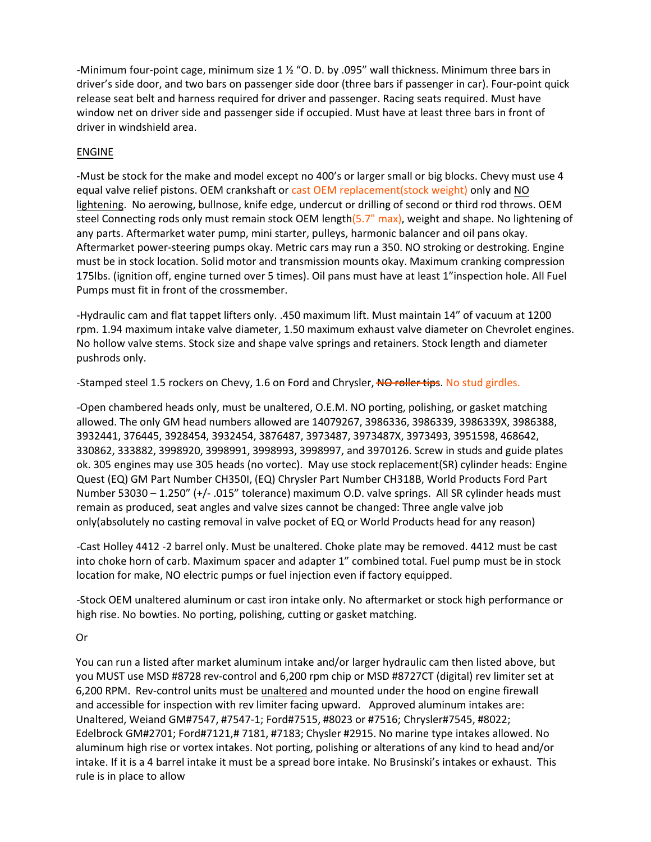-Minimum four-point cage, minimum size 1 ½ "O. D. by .095" wall thickness. Minimum three bars in driver's side door, and two bars on passenger side door (three bars if passenger in car). Four-point quick release seat belt and harness required for driver and passenger. Racing seats required. Must have window net on driver side and passenger side if occupied. Must have at least three bars in front of driver in windshield area.

# ENGINE

-Must be stock for the make and model except no 400's or larger small or big blocks. Chevy must use 4 equal valve relief pistons. OEM crankshaft or cast OEM replacement(stock weight) only and NO lightening. No aerowing, bullnose, knife edge, undercut or drilling of second or third rod throws. OEM steel Connecting rods only must remain stock OEM length(5.7" max), weight and shape. No lightening of any parts. Aftermarket water pump, mini starter, pulleys, harmonic balancer and oil pans okay. Aftermarket power-steering pumps okay. Metric cars may run a 350. NO stroking or destroking. Engine must be in stock location. Solid motor and transmission mounts okay. Maximum cranking compression 175lbs. (ignition off, engine turned over 5 times). Oil pans must have at least 1"inspection hole. All Fuel Pumps must fit in front of the crossmember.

-Hydraulic cam and flat tappet lifters only. .450 maximum lift. Must maintain 14" of vacuum at 1200 rpm. 1.94 maximum intake valve diameter, 1.50 maximum exhaust valve diameter on Chevrolet engines. No hollow valve stems. Stock size and shape valve springs and retainers. Stock length and diameter pushrods only.

.<br>-Stamped steel 1.5 rockers on Chevy, 1.6 on Ford and Chrysler, <del>NO roller tips</del>. No stud girdles.

-Open chambered heads only, must be unaltered, O.E.M. NO porting, polishing, or gasket matching allowed. The only GM head numbers allowed are 14079267, 3986336, 3986339, 3986339X, 3986388, 3932441, 376445, 3928454, 3932454, 3876487, 3973487, 3973487X, 3973493, 3951598, 468642, 330862, 333882, 3998920, 3998991, 3998993, 3998997, and 3970126. Screw in studs and guide plates ok. 305 engines may use 305 heads (no vortec). May use stock replacement(SR) cylinder heads: Engine Quest (EQ) GM Part Number CH350I, (EQ) Chrysler Part Number CH318B, World Products Ford Part Number 53030 – 1.250" (+/- .015" tolerance) maximum O.D. valve springs. All SR cylinder heads must remain as produced, seat angles and valve sizes cannot be changed: Three angle valve job only(absolutely no casting removal in valve pocket of EQ or World Products head for any reason)

-Cast Holley 4412 -2 barrel only. Must be unaltered. Choke plate may be removed. 4412 must be cast into choke horn of carb. Maximum spacer and adapter 1" combined total. Fuel pump must be in stock location for make, NO electric pumps or fuel injection even if factory equipped.

-Stock OEM unaltered aluminum or cast iron intake only. No aftermarket or stock high performance or high rise. No bowties. No porting, polishing, cutting or gasket matching.

# Or

You can run a listed after market aluminum intake and/or larger hydraulic cam then listed above, but you MUST use MSD #8728 rev-control and 6,200 rpm chip or MSD #8727CT (digital) rev limiter set at 6,200 RPM. Rev-control units must be unaltered and mounted under the hood on engine firewall and accessible for inspection with rev limiter facing upward. Approved aluminum intakes are: Unaltered, Weiand GM#7547, #7547-1; Ford#7515, #8023 or #7516; Chrysler#7545, #8022; Edelbrock GM#2701; Ford#7121,# 7181, #7183; Chysler #2915. No marine type intakes allowed. No aluminum high rise or vortex intakes. Not porting, polishing or alterations of any kind to head and/or intake. If it is a 4 barrel intake it must be a spread bore intake. No Brusinski's intakes or exhaust. This rule is in place to allow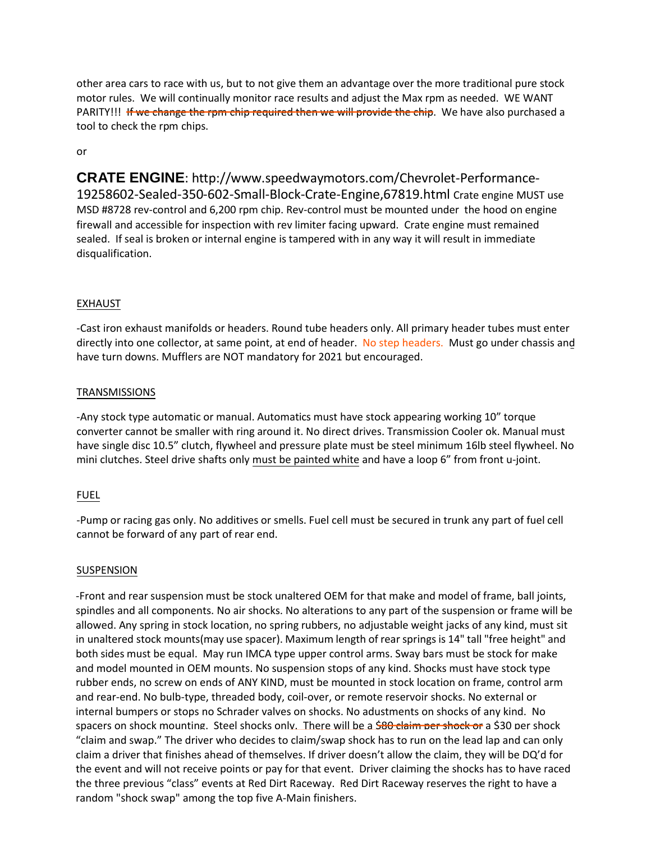other area cars to race with us, but to not give them an advantage over the more traditional pure stock motor rules. We will continually monitor race results and adjust the Max rpm as needed. WE WANT<br>PARITYULL <del>If we change the rom chip required then we will provide the chip</del>. We have also purchased PARITY!!! If we change the rpm chip required then we will provide the chip. We have also purchased a tool to check the rpm chips.

# or

**CRATE ENGINE**:<http://www.speedwaymotors.com/Chevrolet-Performance->19258602-Sealed-350-602-Small-Block-Crate-Engine,67819.html Crate engine MUST use MSD #8728 rev-control and 6,200 rpm chip. Rev-control must be mounted under the hood on engine firewall and accessible for inspection with rev limiter facing upward. Crate engine must remained sealed. If seal is broken or internal engine is tampered with in any way it will result in immediate disqualification.

# EXHAUST

-Cast iron exhaust manifolds or headers. Round tube headers only. All primary header tubes must enter directly into one collector, at same point, at end of header. No step headers. Must go under chassis and have turn downs. Mufflers are NOT mandatory for 2021 but encouraged.

# **TRANSMISSIONS**

-Any stock type automatic or manual. Automatics must have stock appearing working 10" torque converter cannot be smaller with ring around it. No direct drives. Transmission Cooler ok. Manual must have single disc 10.5" clutch, flywheel and pressure plate must be steel minimum 16lb steel flywheel. No mini clutches. Steel drive shafts only must be painted white and have a loop 6" from front u-joint.

# FUEL

-Pump or racing gas only. No additives or smells. Fuel cell must be secured in trunk any part of fuel cell cannot be forward of any part of rear end.

# SUSPENSION

-Front and rear suspension must be stock unaltered OEM for that make and model of frame, ball joints, spindles and all components. No air shocks. No alterations to any part of the suspension or frame will be allowed. Any spring in stock location, no spring rubbers, no adjustable weight jacks of any kind, must sit in unaltered stock mounts(may use spacer). Maximum length of rear springs is 14" tall "free height" and both sides must be equal. May run IMCA type upper control arms. Sway bars must be stock for make and model mounted in OEM mounts. No suspension stops of any kind. Shocks must have stock type rubber ends, no screw on ends of ANY KIND, must be mounted in stock location on frame, control are and rear-end. No bulb-type, t rubber ends, no screw on ends of ANY KIND, must be mounted in stock location on frame, control arm and rear-end. No bulb-type, threaded body, coil-over, or remote reservoir shocks. No external or internal bumpers or stops no Schrader valves on shocks. No adustments on shocks of any kind. No spacers on shock mounting. Steel shocks only. There will be a \$80 claim per shock or a \$30 per shock "claim and swap." The driver who decides to claim/swap shock has to run on the lead lap and can only claim a driver that finishes ahead of themselves. If driver doesn't allow the claim, they will be DQ'd for the event and will not receive points or pay for that event. Driver claiming the shocks has to have raced the three previous "class" events at Red Dirt Raceway. Red Dirt Raceway reserves the right to have a random "shock swap" among the top five A-Main finishers.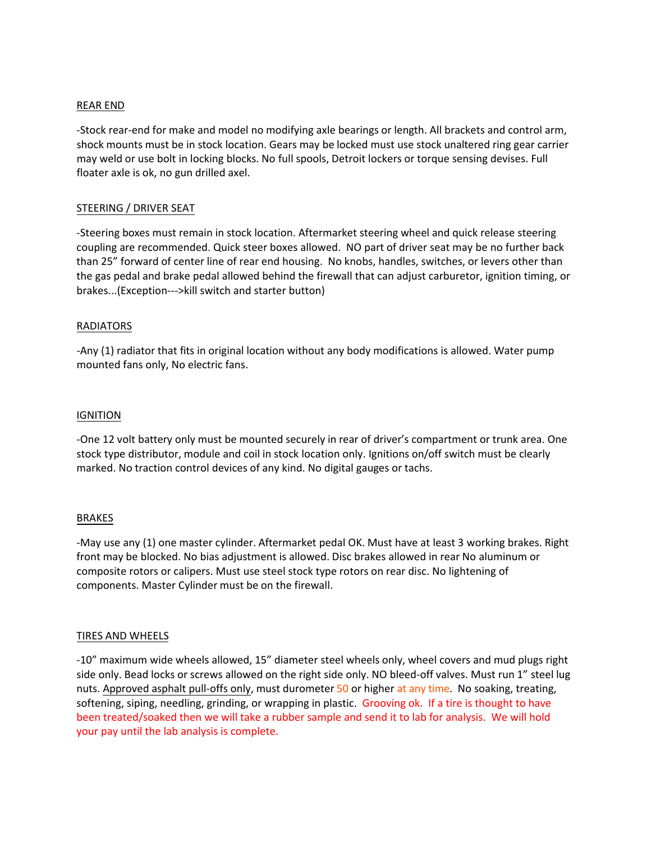### REAR END

-Stock rear-end for make and model no modifying axle bearings or length. All brackets and control arm, shock mounts must be in stock location. Gears may be locked must use stock unaltered ring gear carrier may weld or use bolt in locking blocks. No full spools, Detroit lockers or torque sensing devises. Full floater axle is ok, no gun drilled axel.

### STEERING / DRIVER SEAT

-Steering boxes must remain in stock location. Aftermarket steering wheel and quick release steering coupling are recommended. Quick steer boxes allowed. NO part of driver seat may be no further back than 25" forward of center line of rear end housing. No knobs, handles, switches, or levers other than the gas pedal and brake pedal allowed behind the firewall that can adjust carburetor, ignition timing, or brakes...(Exception--->kill switch and starter button)

### RADIATORS

-Any (1) radiator that fits in original location without any body modifications is allowed. Water pump mounted fans only, No electric fans.

#### IGNITION

-One 12 volt battery only must be mounted securely in rear of driver's compartment or trunk area. One stock type distributor, module and coil in stock location only. Ignitions on/off switch must be clearly marked. No traction control devices of any kind. No digital gauges or tachs.

#### BRAKES

-May use any (1) one master cylinder. Aftermarket pedal OK. Must have at least 3 working brakes. Right front may be blocked. No bias adjustment is allowed. Disc brakes allowed in rear No aluminum or composite rotors or calipers. Must use steel stock type rotors on rear disc. No lightening of components. Master Cylinder must be on the firewall.

#### TIRES AND WHEELS

-10" maximum wide wheels allowed, 15" diameter steel wheels only, wheel covers and mud plugs right side only. Bead locks or screws allowed on the right side only. NO bleed-off valves. Must run 1" steel lug nuts. Approved asphalt pull-offs only, must durometer 50 or higher at any time. No soaking, treating, softening, siping, needling, grinding, or wrapping in plastic. Grooving ok. If a tire is thought to have been treated/soaked then we will take a rubber sample and send it to lab for analysis. We will hold your pay until the lab analysis is complete.